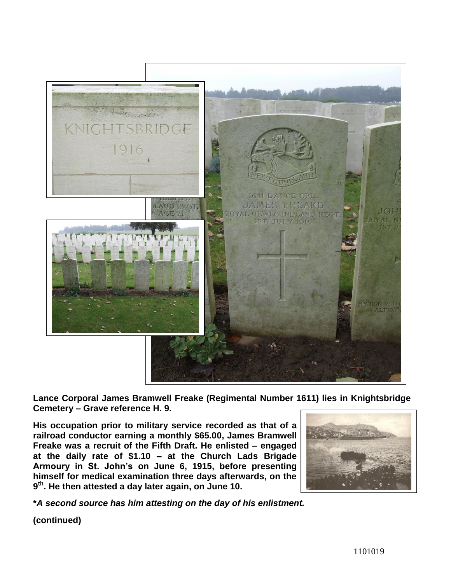

**Lance Corporal James Bramwell Freake (Regimental Number 1611) lies in Knightsbridge Cemetery – Grave reference H. 9.** 

**His occupation prior to military service recorded as that of a railroad conductor earning a monthly \$65.00, James Bramwell Freake was a recruit of the Fifth Draft. He enlisted – engaged at the daily rate of \$1.10 – at the Church Lads Brigade Armoury in St. John's on June 6, 1915, before presenting himself for medical examination three days afterwards, on the 9 th. He then attested a day later again, on June 10.**



**\****A second source has him attesting on the day of his enlistment.*

**(continued)**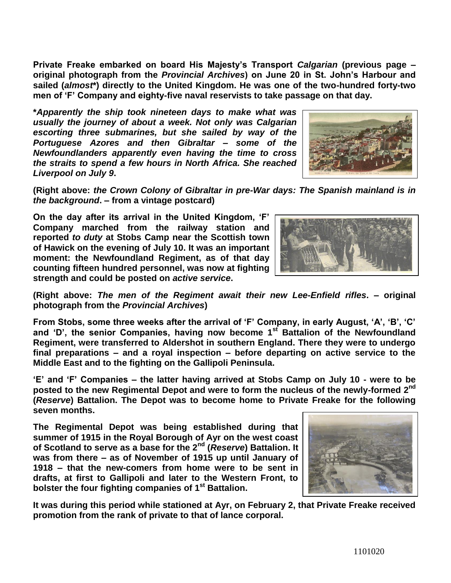**Private Freake embarked on board His Majesty's Transport** *Calgarian* **(previous page – original photograph from the** *Provincial Archives***) on June 20 in St. John's Harbour and sailed (***almost***\*) directly to the United Kingdom. He was one of the two-hundred forty-two men of 'F' Company and eighty-five naval reservists to take passage on that day.**

**\****Apparently the ship took nineteen days to make what was usually the journey of about a week. Not only was Calgarian escorting three submarines, but she sailed by way of the Portuguese Azores and then Gibraltar – some of the Newfoundlanders apparently even having the time to cross the straits to spend a few hours in North Africa. She reached Liverpool on July 9***.**



**(Right above:** *the Crown Colony of Gibraltar in pre-War days: The Spanish mainland is in the background***. – from a vintage postcard)**

**On the day after its arrival in the United Kingdom, 'F' Company marched from the railway station and reported** *to duty* **at Stobs Camp near the Scottish town of Hawick on the evening of July 10. It was an important moment: the Newfoundland Regiment, as of that day counting fifteen hundred personnel, was now at fighting strength and could be posted on** *active service***.**



**(Right above:** *The men of the Regiment await their new Lee-Enfield rifles***. – original photograph from the** *Provincial Archives***)**

**From Stobs, some three weeks after the arrival of 'F' Company, in early August, 'A', 'B', 'C' and 'D', the senior Companies, having now become 1st Battalion of the Newfoundland Regiment, were transferred to Aldershot in southern England. There they were to undergo final preparations – and a royal inspection – before departing on active service to the Middle East and to the fighting on the Gallipoli Peninsula.**

**'E' and 'F' Companies – the latter having arrived at Stobs Camp on July 10 - were to be posted to the new Regimental Depot and were to form the nucleus of the newly-formed 2nd (***Reserve***) Battalion. The Depot was to become home to Private Freake for the following seven months.** 

**The Regimental Depot was being established during that summer of 1915 in the Royal Borough of Ayr on the west coast of Scotland to serve as a base for the 2nd (***Reserve***) Battalion. It was from there – as of November of 1915 up until January of 1918 – that the new-comers from home were to be sent in drafts, at first to Gallipoli and later to the Western Front, to bolster the four fighting companies of 1st Battalion.**

**It was during this period while stationed at Ayr, on February 2, that Private Freake received promotion from the rank of private to that of lance corporal.** 

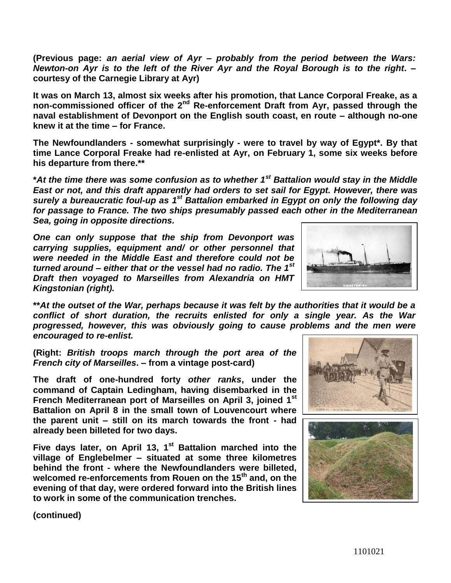**(Previous page:** *an aerial view of Ayr – probably from the period between the Wars: Newton-on Ayr is to the left of the River Ayr and the Royal Borough is to the right***. – courtesy of the Carnegie Library at Ayr)**

**It was on March 13, almost six weeks after his promotion, that Lance Corporal Freake, as a non-commissioned officer of the 2nd Re-enforcement Draft from Ayr, passed through the naval establishment of Devonport on the English south coast, en route – although no-one knew it at the time – for France.** 

**The Newfoundlanders - somewhat surprisingly - were to travel by way of Egypt\*. By that time Lance Corporal Freake had re-enlisted at Ayr, on February 1, some six weeks before his departure from there.\*\***

**\****At the time there was some confusion as to whether 1st Battalion would stay in the Middle East or not, and this draft apparently had orders to set sail for Egypt. However, there was*  surely a bureaucratic foul-up as 1<sup>st</sup> Battalion embarked in Egypt on only the following day *for passage to France. The two ships presumably passed each other in the Mediterranean Sea, going in opposite directions.*

*One can only suppose that the ship from Devonport was carrying supplies, equipment and/ or other personnel that were needed in the Middle East and therefore could not be turned around – either that or the vessel had no radio. The 1st Draft then voyaged to Marseilles from Alexandria on HMT Kingstonian (right).*



**\*\****At the outset of the War, perhaps because it was felt by the authorities that it would be a conflict of short duration, the recruits enlisted for only a single year. As the War progressed, however, this was obviously going to cause problems and the men were encouraged to re-enlist.*

**(Right:** *British troops march through the port area of the French city of Marseilles***. – from a vintage post-card)**

**The draft of one-hundred forty** *other ranks***, under the command of Captain Ledingham, having disembarked in the French Mediterranean port of Marseilles on April 3, joined 1st Battalion on April 8 in the small town of Louvencourt where the parent unit – still on its march towards the front - had already been billeted for two days.**

**Five days later, on April 13, 1st Battalion marched into the village of Englebelmer – situated at some three kilometres behind the front - where the Newfoundlanders were billeted, welcomed re-enforcements from Rouen on the 15th and, on the evening of that day, were ordered forward into the British lines to work in some of the communication trenches.**





**(continued)**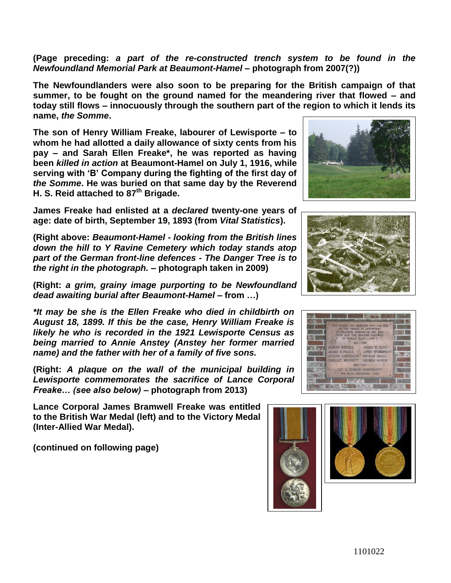**(Page preceding:** *a part of the re-constructed trench system to be found in the Newfoundland Memorial Park at Beaumont-Hamel –* **photograph from 2007(?))**

**The Newfoundlanders were also soon to be preparing for the British campaign of that summer, to be fought on the ground named for the meandering river that flowed – and today still flows – innocuously through the southern part of the region to which it lends its name,** *the Somme***.**

**The son of Henry William Freake, labourer of Lewisporte – to whom he had allotted a daily allowance of sixty cents from his pay – and Sarah Ellen Freake\*, he was reported as having been** *killed in action* **at Beaumont-Hamel on July 1, 1916, while serving with 'B' Company during the fighting of the first day of**  *the Somme***. He was buried on that same day by the Reverend H. S. Reid attached to 87th Brigade.**

**James Freake had enlisted at a** *declared* **twenty-one years of age: date of birth, September 19, 1893 (from** *Vital Statistics***).**

**(Right above:** *Beaumont-Hamel - looking from the British lines down the hill to Y Ravine Cemetery which today stands atop part of the German front-line defences - The Danger Tree is to the right in the photograph.* **– photograph taken in 2009)**

**(Right:** *a grim, grainy image purporting to be Newfoundland dead awaiting burial after Beaumont-Hamel –* **from …)**

*\*It may be she is the Ellen Freake who died in childbirth on August 18, 1899. If this be the case, Henry William Freake is likely he who is recorded in the 1921 Lewisporte Census as being married to Annie Anstey (Anstey her former married name) and the father with her of a family of five sons.*

**(Right:** *A plaque on the wall of the municipal building in Lewisporte commemorates the sacrifice of Lance Corporal Freake… (see also below)* **– photograph from 2013)** 

**Lance Corporal James Bramwell Freake was entitled to the British War Medal (left) and to the Victory Medal (Inter-Allied War Medal).**

**(continued on following page)**